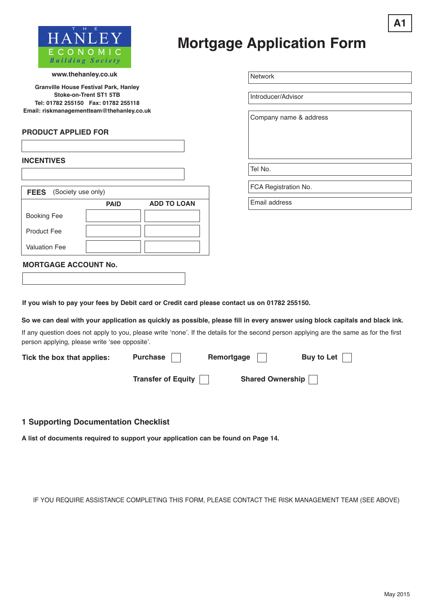

# **Mortgage Application Form**

Introducer/Advisor

Company name & address

FCA Registration No.

Email address

Network

Tel No.

**A1**

| www.thehanley.co.uk |
|---------------------|
|---------------------|

**Granville House Festival Park, Hanley Stoke-on-Trent ST1 5TB Tel: 01782 255150 Fax: 01782 255118 Email: riskmanagementteam@thehanley.co.uk**

#### **PRODUCT APPLIED FOR**

#### **INCENTIVES**

| <b>FEES</b> (Society use only) |             |                    |
|--------------------------------|-------------|--------------------|
|                                | <b>PAID</b> | <b>ADD TO LOAN</b> |
| <b>Booking Fee</b>             |             |                    |
| Product Fee                    |             |                    |
| <b>Valuation Fee</b>           |             |                    |

# **MORTGAGE ACCOUNT No.**

**If you wish to pay your fees by Debit card or Credit card please contact us on 01782 255150.**

**So we can deal with your application as quickly as possible, please fill in every answer using block capitals and black ink.**

If any question does not apply to you, please write 'none'. If the details for the second person applying are the same as for the first person applying, please write 'see opposite'.

| Tick the box that applies: | <b>Purchase</b>    | Remortgage       | Buy to Let $\vert$ |
|----------------------------|--------------------|------------------|--------------------|
|                            | Transfer of Equity | Shared Ownership |                    |

# **1 Supporting Documentation Checklist**

**A list of documents required to support your application can be found on Page 14.**

IF YOU REQUIRE ASSISTANCE COMPLETING THIS FORM, PLEASE CONTACT THE RISK MANAGEMENT TEAM (SEE ABOVE)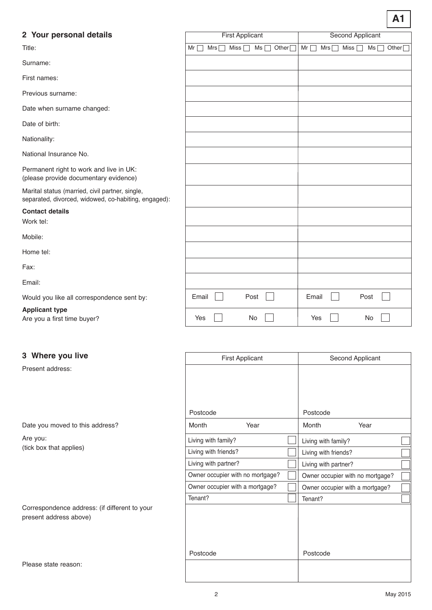| 2 Your personal details                                                                                 |       |     | <b>First Applicant</b> |                      |           |     | <b>Second Applicant</b> |      |              |
|---------------------------------------------------------------------------------------------------------|-------|-----|------------------------|----------------------|-----------|-----|-------------------------|------|--------------|
| Title:                                                                                                  | Mr    | Mrs | Miss                   | Ms<br>Other $\Gamma$ | $Mr \Box$ | Mrs | Miss [                  | Ms   | Other $\Box$ |
| Surname:                                                                                                |       |     |                        |                      |           |     |                         |      |              |
| First names:                                                                                            |       |     |                        |                      |           |     |                         |      |              |
| Previous surname:                                                                                       |       |     |                        |                      |           |     |                         |      |              |
| Date when surname changed:                                                                              |       |     |                        |                      |           |     |                         |      |              |
| Date of birth:                                                                                          |       |     |                        |                      |           |     |                         |      |              |
| Nationality:                                                                                            |       |     |                        |                      |           |     |                         |      |              |
| National Insurance No.                                                                                  |       |     |                        |                      |           |     |                         |      |              |
| Permanent right to work and live in UK:<br>(please provide documentary evidence)                        |       |     |                        |                      |           |     |                         |      |              |
| Marital status (married, civil partner, single,<br>separated, divorced, widowed, co-habiting, engaged): |       |     |                        |                      |           |     |                         |      |              |
| <b>Contact details</b>                                                                                  |       |     |                        |                      |           |     |                         |      |              |
| Work tel:                                                                                               |       |     |                        |                      |           |     |                         |      |              |
| Mobile:                                                                                                 |       |     |                        |                      |           |     |                         |      |              |
| Home tel:                                                                                               |       |     |                        |                      |           |     |                         |      |              |
| Fax:                                                                                                    |       |     |                        |                      |           |     |                         |      |              |
| Email:                                                                                                  |       |     |                        |                      |           |     |                         |      |              |
| Would you like all correspondence sent by:                                                              | Email |     | Post                   |                      | Email     |     |                         | Post |              |
| <b>Applicant type</b><br>Are you a first time buyer?                                                    | Yes   |     |                        | No                   | Yes       |     |                         | No   |              |

# **3** Where you live

Present address:

Date you moved to this address?

Are you: (tick box that applies)

Correspondence address: (if different to your present address above)

Please state reason:

| <b>First Applicant</b>           | Second Applicant                 |  |
|----------------------------------|----------------------------------|--|
|                                  |                                  |  |
|                                  |                                  |  |
|                                  |                                  |  |
| Postcode                         | Postcode                         |  |
| Month<br>Year                    | Month<br>Year                    |  |
| Living with family?              | Living with family?              |  |
| Living with friends?             | Living with friends?             |  |
| Living with partner?             | Living with partner?             |  |
| Owner occupier with no mortgage? | Owner occupier with no mortgage? |  |
| Owner occupier with a mortgage?  | Owner occupier with a mortgage?  |  |
| Tenant?                          | Tenant?                          |  |
|                                  |                                  |  |
|                                  |                                  |  |
|                                  |                                  |  |
|                                  |                                  |  |
| Postcode                         | Postcode                         |  |
|                                  |                                  |  |
|                                  |                                  |  |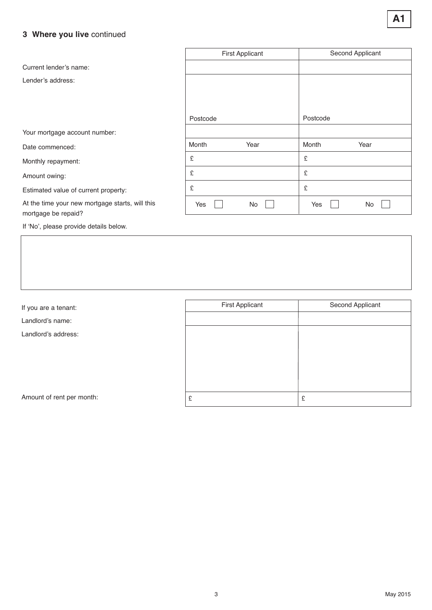# **3 Where you live** continued

|                                                                        | <b>First Applicant</b> | Second Applicant |
|------------------------------------------------------------------------|------------------------|------------------|
| Current lender's name:                                                 |                        |                  |
| Lender's address:                                                      |                        |                  |
|                                                                        |                        |                  |
|                                                                        |                        |                  |
|                                                                        | Postcode               | Postcode         |
| Your mortgage account number:                                          |                        |                  |
| Date commenced:                                                        | Month<br>Year          | Month<br>Year    |
| Monthly repayment:                                                     | £                      | £                |
| Amount owing:                                                          | £                      | £                |
| Estimated value of current property:                                   | £                      | £                |
| At the time your new mortgage starts, will this<br>mortgage be repaid? | No<br>Yes              | Yes<br>No        |

If 'No', please provide details below.

If you are a tenant:

Landlord's name:

Landlord's address:

Amount of rent per month:

| <b>First Applicant</b> | Second Applicant |
|------------------------|------------------|
|                        |                  |
|                        |                  |
|                        |                  |
|                        |                  |
|                        |                  |
|                        |                  |
| £                      | £                |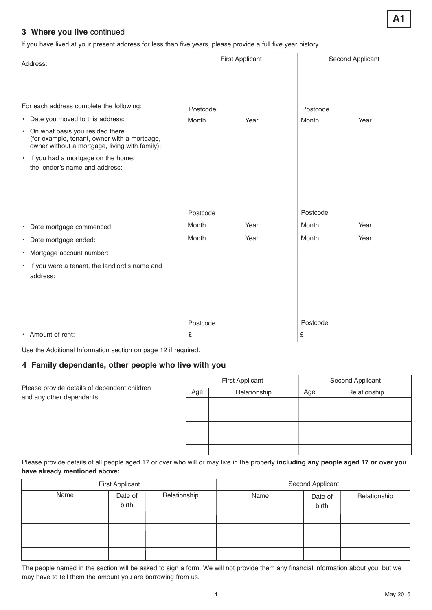# **3 Where you live** continued

If you have lived at your present address for less than five years, please provide a full five year history.

| Address:                                                                                                                            |          | <b>First Applicant</b> |          | Second Applicant |  |  |
|-------------------------------------------------------------------------------------------------------------------------------------|----------|------------------------|----------|------------------|--|--|
|                                                                                                                                     |          |                        |          |                  |  |  |
|                                                                                                                                     |          |                        |          |                  |  |  |
| For each address complete the following:                                                                                            | Postcode |                        | Postcode |                  |  |  |
| • Date you moved to this address:                                                                                                   | Month    | Year                   | Month    | Year             |  |  |
| • On what basis you resided there<br>(for example, tenant, owner with a mortgage,<br>owner without a mortgage, living with family): |          |                        |          |                  |  |  |
| • If you had a mortgage on the home,<br>the lender's name and address:                                                              |          |                        |          |                  |  |  |
|                                                                                                                                     |          |                        |          |                  |  |  |
|                                                                                                                                     | Postcode |                        | Postcode |                  |  |  |
| • Date mortgage commenced:                                                                                                          | Month    | Year                   | Month    | Year             |  |  |
| · Date mortgage ended:                                                                                                              | Month    | Year                   | Month    | Year             |  |  |
| • Mortgage account number:                                                                                                          |          |                        |          |                  |  |  |
| • If you were a tenant, the landlord's name and<br>address:                                                                         |          |                        |          |                  |  |  |
|                                                                                                                                     |          |                        |          |                  |  |  |
|                                                                                                                                     |          |                        |          |                  |  |  |
|                                                                                                                                     | Postcode |                        | Postcode |                  |  |  |
| • Amount of rent:                                                                                                                   | £        |                        | £        |                  |  |  |

Use the Additional Information section on page 12 if required.

# **4 Family dependants, other people who live with you**

|                                                                           | <b>First Applicant</b> |              |     | Second Applicant |  |  |
|---------------------------------------------------------------------------|------------------------|--------------|-----|------------------|--|--|
| Please provide details of dependent children<br>and any other dependants: | Age                    | Relationship | Age | Relationship     |  |  |
|                                                                           |                        |              |     |                  |  |  |
|                                                                           |                        |              |     |                  |  |  |
|                                                                           |                        |              |     |                  |  |  |
|                                                                           |                        |              |     |                  |  |  |
|                                                                           |                        |              |     |                  |  |  |
|                                                                           |                        |              |     |                  |  |  |

Please provide details of all people aged 17 or over who will or may live in the property **including any people aged 17 or over you have already mentioned above:**

| <b>First Applicant</b> |                  |              | Second Applicant |                  |              |  |
|------------------------|------------------|--------------|------------------|------------------|--------------|--|
| Name                   | Date of<br>birth | Relationship | Name             | Date of<br>birth | Relationship |  |
|                        |                  |              |                  |                  |              |  |
|                        |                  |              |                  |                  |              |  |
|                        |                  |              |                  |                  |              |  |
|                        |                  |              |                  |                  |              |  |

The people named in the section will be asked to sign a form. We will not provide them any financial information about you, but we may have to tell them the amount you are borrowing from us.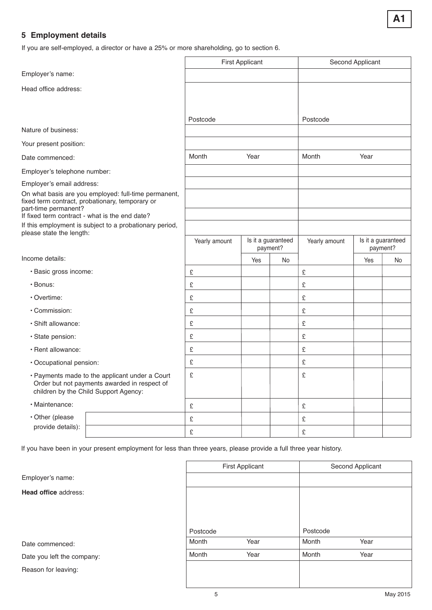# **5 Employment details**

If you are self-employed, a director or have a 25% or more shareholding, go to section 6.

|                                                                                                                                         |  |               | <b>First Applicant</b>         |    | Second Applicant |                                |    |
|-----------------------------------------------------------------------------------------------------------------------------------------|--|---------------|--------------------------------|----|------------------|--------------------------------|----|
| Employer's name:                                                                                                                        |  |               |                                |    |                  |                                |    |
| Head office address:                                                                                                                    |  |               |                                |    |                  |                                |    |
|                                                                                                                                         |  |               |                                |    |                  |                                |    |
|                                                                                                                                         |  | Postcode      |                                |    | Postcode         |                                |    |
| Nature of business:                                                                                                                     |  |               |                                |    |                  |                                |    |
| Your present position:                                                                                                                  |  |               |                                |    |                  |                                |    |
| Date commenced:                                                                                                                         |  | Month         | Year                           |    | Month            | Year                           |    |
| Employer's telephone number:                                                                                                            |  |               |                                |    |                  |                                |    |
| Employer's email address:                                                                                                               |  |               |                                |    |                  |                                |    |
| On what basis are you employed: full-time permanent,<br>fixed term contract, probationary, temporary or<br>part-time permanent?         |  |               |                                |    |                  |                                |    |
| If fixed term contract - what is the end date?                                                                                          |  |               |                                |    |                  |                                |    |
| If this employment is subject to a probationary period,<br>please state the length:                                                     |  |               |                                |    |                  |                                |    |
|                                                                                                                                         |  | Yearly amount | Is it a guaranteed<br>payment? |    | Yearly amount    | Is it a guaranteed<br>payment? |    |
| Income details:                                                                                                                         |  |               | Yes                            | No |                  | Yes                            | No |
| · Basic gross income:                                                                                                                   |  | £             |                                |    | £                |                                |    |
| · Bonus:                                                                                                                                |  | £             |                                |    | £                |                                |    |
| • Overtime:                                                                                                                             |  | £             |                                |    | £                |                                |    |
| · Commission:                                                                                                                           |  | £             |                                |    | £                |                                |    |
| · Shift allowance:                                                                                                                      |  | £             |                                |    | £                |                                |    |
| · State pension:                                                                                                                        |  | £             |                                |    | £                |                                |    |
| · Rent allowance:                                                                                                                       |  | £             |                                |    | £                |                                |    |
| · Occupational pension:                                                                                                                 |  | £             |                                |    | £                |                                |    |
| • Payments made to the applicant under a Court<br>Order but not payments awarded in respect of<br>children by the Child Support Agency: |  | £             |                                |    | £                |                                |    |
| · Maintenance:                                                                                                                          |  | £             |                                |    | £                |                                |    |
| • Other (please                                                                                                                         |  | £             |                                |    | £                |                                |    |
| provide details):                                                                                                                       |  | £             |                                |    | £                |                                |    |

If you have been in your present employment for less than three years, please provide a full three year history.

Postcode Postcode Postcode First Applicant **Second Applicant** Employer's name: **Head office** address: Date commenced: Date you left the company: Reason for leaving: Month Year Month Year Month Year Month Year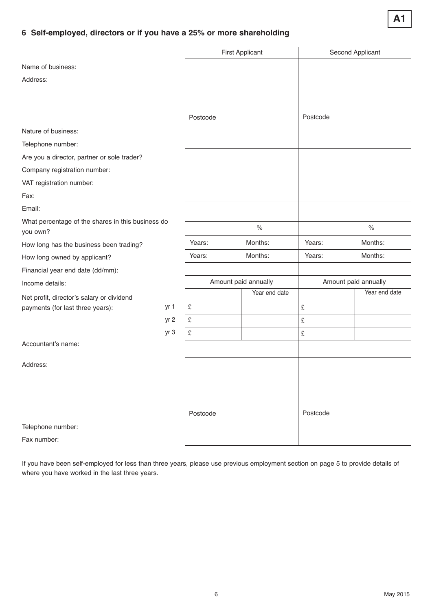# **6 Self-employed, directors or if you have a 25% or more shareholding**

|                                                                               |      |                      | <b>First Applicant</b> | Second Applicant     |               |
|-------------------------------------------------------------------------------|------|----------------------|------------------------|----------------------|---------------|
| Name of business:                                                             |      |                      |                        |                      |               |
| Address:                                                                      |      |                      |                        |                      |               |
|                                                                               |      |                      |                        |                      |               |
|                                                                               |      |                      |                        |                      |               |
|                                                                               |      | Postcode             |                        | Postcode             |               |
| Nature of business:                                                           |      |                      |                        |                      |               |
| Telephone number:                                                             |      |                      |                        |                      |               |
| Are you a director, partner or sole trader?                                   |      |                      |                        |                      |               |
| Company registration number:                                                  |      |                      |                        |                      |               |
| VAT registration number:                                                      |      |                      |                        |                      |               |
| Fax:                                                                          |      |                      |                        |                      |               |
| Email:                                                                        |      |                      |                        |                      |               |
| What percentage of the shares in this business do<br>you own?                 |      |                      | $\%$                   |                      | $\%$          |
| How long has the business been trading?                                       |      | Years:               | Months:                | Years:               | Months:       |
| How long owned by applicant?                                                  |      | Years:               | Months:                | Years:               | Months:       |
| Financial year end date (dd/mm):                                              |      |                      |                        |                      |               |
| Income details:                                                               |      | Amount paid annually |                        | Amount paid annually |               |
| Net profit, director's salary or dividend<br>payments (for last three years): | yr 1 | £                    | Year end date          | $\pounds$            | Year end date |
|                                                                               | yr 2 | £                    |                        | £                    |               |
|                                                                               | yr 3 | £                    |                        | £                    |               |
| Accountant's name:                                                            |      |                      |                        |                      |               |
| Address:                                                                      |      |                      |                        |                      |               |
|                                                                               |      |                      |                        |                      |               |
|                                                                               |      |                      |                        |                      |               |
|                                                                               |      |                      |                        |                      |               |
|                                                                               |      | Postcode             |                        | Postcode             |               |
| Telephone number:                                                             |      |                      |                        |                      |               |
| Fax number:                                                                   |      |                      |                        |                      |               |

If you have been self-employed for less than three years, please use previous employment section on page 5 to provide details of where you have worked in the last three years.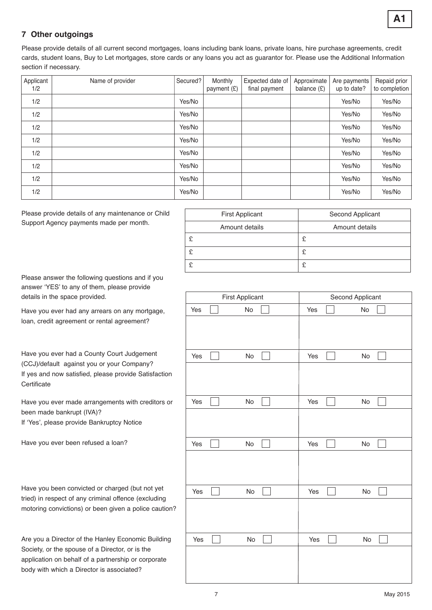# **7 Other outgoings**

Please provide details of all current second mortgages, loans including bank loans, private loans, hire purchase agreements, credit cards, student loans, Buy to Let mortgages, store cards or any loans you act as guarantor for. Please use the Additional Information section if necessary.

| Applicant<br>1/2 | Name of provider | Secured? | Monthly<br>payment $(E)$ | Expected date of<br>final payment | Approximate<br>balance $(E)$ | Are payments<br>up to date? | Repaid prior<br>to completion |
|------------------|------------------|----------|--------------------------|-----------------------------------|------------------------------|-----------------------------|-------------------------------|
| 1/2              |                  | Yes/No   |                          |                                   |                              | Yes/No                      | Yes/No                        |
| 1/2              |                  | Yes/No   |                          |                                   |                              | Yes/No                      | Yes/No                        |
| 1/2              |                  | Yes/No   |                          |                                   |                              | Yes/No                      | Yes/No                        |
| 1/2              |                  | Yes/No   |                          |                                   |                              | Yes/No                      | Yes/No                        |
| 1/2              |                  | Yes/No   |                          |                                   |                              | Yes/No                      | Yes/No                        |
| 1/2              |                  | Yes/No   |                          |                                   |                              | Yes/No                      | Yes/No                        |
| 1/2              |                  | Yes/No   |                          |                                   |                              | Yes/No                      | Yes/No                        |
| 1/2              |                  | Yes/No   |                          |                                   |                              | Yes/No                      | Yes/No                        |

Please provide details of any maintenance or Child Support Agency payments made per month.

| <b>First Applicant</b> | Second Applicant |
|------------------------|------------------|
| Amount details         | Amount details   |
|                        | £                |
|                        |                  |
|                        |                  |

Please answer the following questions and if you answer 'YES' to any of them, please provide details in the space provided.

Have you ever had any arrears on any mortgage, loan, credit agreement or rental agreement?

Have you ever had a County Court Judgement (CCJ)/default against you or your Company? If yes and now satisfied, please provide Satisfaction **Certificate** 

Have you ever made arrangements with creditors or been made bankrupt (IVA)? If 'Yes', please provide Bankruptcy Notice

Have you ever been refused a loan?

Have you been convicted or charged (but not yet tried) in respect of any criminal offence (excluding motoring convictions) or been given a police caution?

Are you a Director of the Hanley Economic Building Society, or the spouse of a Director, or is the application on behalf of a partnership or corporate body with which a Director is associated?

|     | <b>First Applicant</b> | Second Applicant |
|-----|------------------------|------------------|
| Yes | No                     | Yes<br>No        |
|     |                        |                  |
|     |                        |                  |
| Yes | No                     | Yes<br>No        |
|     |                        |                  |
|     |                        |                  |
| Yes | No                     | Yes<br>No        |
|     |                        |                  |
|     |                        |                  |
| Yes | No                     | Yes<br>No        |
|     |                        |                  |
|     |                        |                  |
| Yes | No                     | Yes<br>No        |
|     |                        |                  |
|     |                        |                  |
| Yes | No<br>$\sim 10$        | Yes<br>No        |
|     |                        |                  |
|     |                        |                  |
|     |                        |                  |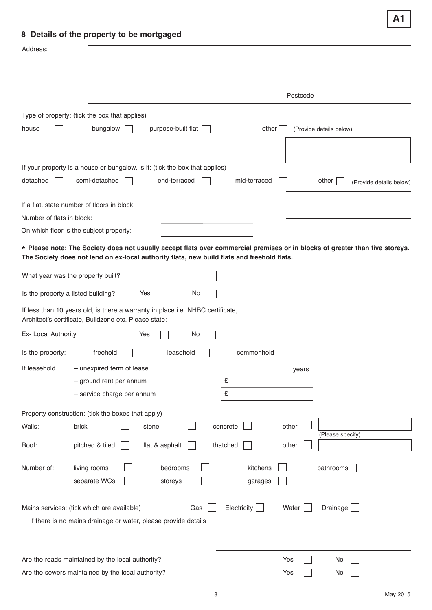# **8 Details of the property to be mortgaged**

| Address:                           |                                                                                                                                                                                                                            |
|------------------------------------|----------------------------------------------------------------------------------------------------------------------------------------------------------------------------------------------------------------------------|
|                                    |                                                                                                                                                                                                                            |
|                                    |                                                                                                                                                                                                                            |
|                                    | Postcode                                                                                                                                                                                                                   |
|                                    | Type of property: (tick the box that applies)                                                                                                                                                                              |
| house                              | purpose-built flat<br>bungalow<br>other<br>(Provide details below)                                                                                                                                                         |
|                                    |                                                                                                                                                                                                                            |
|                                    | If your property is a house or bungalow, is it: (tick the box that applies)                                                                                                                                                |
| detached                           | semi-detached<br>end-terraced<br>mid-terraced<br>other<br>(Provide details below)                                                                                                                                          |
|                                    | If a flat, state number of floors in block:                                                                                                                                                                                |
| Number of flats in block:          |                                                                                                                                                                                                                            |
|                                    | On which floor is the subject property:                                                                                                                                                                                    |
|                                    | * Please note: The Society does not usually accept flats over commercial premises or in blocks of greater than five storeys.<br>The Society does not lend on ex-local authority flats, new build flats and freehold flats. |
| What year was the property built?  |                                                                                                                                                                                                                            |
| Is the property a listed building? | Yes<br>No                                                                                                                                                                                                                  |
|                                    | If less than 10 years old, is there a warranty in place i.e. NHBC certificate,<br>Architect's certificate, Buildzone etc. Please state:                                                                                    |
| Ex- Local Authority                | Yes<br>No                                                                                                                                                                                                                  |
| Is the property:                   | freehold<br>leasehold<br>commonhold                                                                                                                                                                                        |
| If leasehold                       | - unexpired term of lease<br>years                                                                                                                                                                                         |
|                                    | £<br>- ground rent per annum                                                                                                                                                                                               |
|                                    | £<br>- service charge per annum                                                                                                                                                                                            |
|                                    | Property construction: (tick the boxes that apply)                                                                                                                                                                         |
| Walls:                             | other<br>brick<br>concrete<br>stone<br>(Please specify)                                                                                                                                                                    |
| Roof:                              | pitched & tiled<br>flat & asphalt<br>thatched<br>other                                                                                                                                                                     |
| Number of:                         | living rooms<br>bedrooms<br>kitchens<br>bathrooms                                                                                                                                                                          |
|                                    | separate WCs<br>storeys<br>garages                                                                                                                                                                                         |
|                                    | Electricity<br>Water<br>Drainage<br>Mains services: (tick which are available)<br>Gas                                                                                                                                      |
|                                    | If there is no mains drainage or water, please provide details                                                                                                                                                             |
|                                    |                                                                                                                                                                                                                            |
|                                    | Are the roads maintained by the local authority?<br>Yes<br>No                                                                                                                                                              |
|                                    | Are the sewers maintained by the local authority?<br>Yes<br>No                                                                                                                                                             |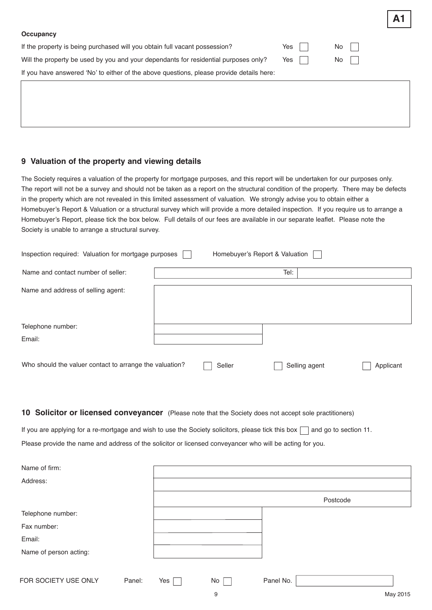| Occupancy                                                                                |     |      |
|------------------------------------------------------------------------------------------|-----|------|
| If the property is being purchased will you obtain full vacant possession?               | Yes | No l |
| Will the property be used by you and your dependants for residential purposes only?      | Yes | No l |
| If you have answered 'No' to either of the above questions, please provide details here: |     |      |
|                                                                                          |     |      |
|                                                                                          |     |      |

## **9 Valuation of the property and viewing details**

The Society requires a valuation of the property for mortgage purposes, and this report will be undertaken for our purposes only. The report will not be a survey and should not be taken as a report on the structural condition of the property. There may be defects in the property which are not revealed in this limited assessment of valuation. We strongly advise you to obtain either a Homebuyer's Report & Valuation or a structural survey which will provide a more detailed inspection. If you require us to arrange a Homebuyer's Report, please tick the box below. Full details of our fees are available in our separate leaflet. Please note the Society is unable to arrange a structural survey.

| Homebuyer's Report & Valuation<br>Inspection required: Valuation for mortgage purposes |  |        |               |           |  |
|----------------------------------------------------------------------------------------|--|--------|---------------|-----------|--|
| Name and contact number of seller:                                                     |  |        | Tel:          |           |  |
| Name and address of selling agent:                                                     |  |        |               |           |  |
| Telephone number:                                                                      |  |        |               |           |  |
| Email:                                                                                 |  |        |               |           |  |
| Who should the valuer contact to arrange the valuation?                                |  | Seller | Selling agent | Applicant |  |

#### **10 Solicitor or licensed conveyancer** (Please note that the Society does not accept sole practitioners)

If you are applying for a re-mortgage and wish to use the Society solicitors, please tick this box  $\Box$  and go to section 11. Please provide the name and address of the solicitor or licensed conveyancer who will be acting for you.

| Name of firm:          |        |     |                 |           |          |          |
|------------------------|--------|-----|-----------------|-----------|----------|----------|
| Address:               |        |     |                 |           |          |          |
|                        |        |     |                 |           | Postcode |          |
| Telephone number:      |        |     |                 |           |          |          |
| Fax number:            |        |     |                 |           |          |          |
| Email:                 |        |     |                 |           |          |          |
| Name of person acting: |        |     |                 |           |          |          |
| FOR SOCIETY USE ONLY   | Panel: | Yes | No <sub>1</sub> | Panel No. |          |          |
|                        |        |     | 9               |           |          | May 2015 |

**A1**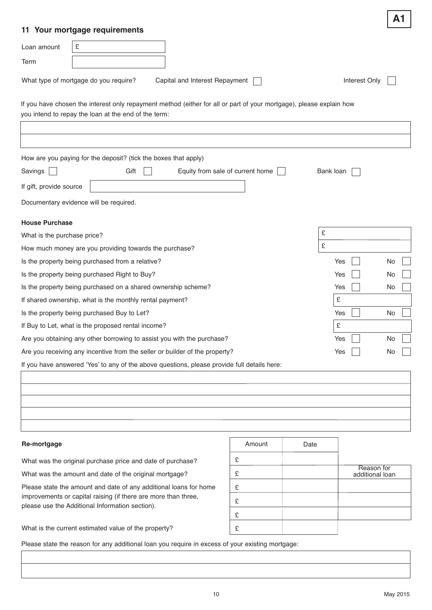### **11 Your mortgage requirements**

|                                                               | 11 Your mortgage requirements                                               |                                                                                                                     |               |  |
|---------------------------------------------------------------|-----------------------------------------------------------------------------|---------------------------------------------------------------------------------------------------------------------|---------------|--|
| Loan amount                                                   | £                                                                           |                                                                                                                     |               |  |
| Term                                                          |                                                                             |                                                                                                                     |               |  |
|                                                               | What type of mortgage do you require?                                       | Capital and Interest Repayment                                                                                      | Interest Only |  |
|                                                               | you intend to repay the loan at the end of the term:                        | If you have chosen the interest only repayment method (either for all or part of your mortgage), please explain how |               |  |
|                                                               | How are you paying for the deposit? (tick the boxes that apply)             |                                                                                                                     |               |  |
| Savings                                                       | Gift                                                                        | Equity from sale of current home                                                                                    | Bank loan     |  |
| If gift, provide source                                       |                                                                             |                                                                                                                     |               |  |
|                                                               | Documentary evidence will be required.                                      |                                                                                                                     |               |  |
| <b>House Purchase</b>                                         |                                                                             |                                                                                                                     |               |  |
| What is the purchase price?                                   |                                                                             |                                                                                                                     | £             |  |
|                                                               | How much money are you providing towards the purchase?                      |                                                                                                                     | £             |  |
|                                                               | Is the property being purchased from a relative?                            |                                                                                                                     | Yes<br>No     |  |
|                                                               | Is the property being purchased Right to Buy?                               |                                                                                                                     | Yes<br>No     |  |
|                                                               | Is the property being purchased on a shared ownership scheme?               |                                                                                                                     | Yes<br>No     |  |
| £<br>If shared ownership, what is the monthly rental payment? |                                                                             |                                                                                                                     |               |  |
|                                                               | Is the property being purchased Buy to Let?                                 |                                                                                                                     | No<br>Yes     |  |
|                                                               | If Buy to Let, what is the proposed rental income?                          |                                                                                                                     | £             |  |
|                                                               | Are you obtaining any other borrowing to assist you with the purchase?      |                                                                                                                     | Yes<br>No.    |  |
|                                                               | Are you receiving any incentive from the seller or builder of the property? |                                                                                                                     | Yes<br>No     |  |
|                                                               |                                                                             | If you have answered 'Yes' to any of the above questions, please provide full details here:                         |               |  |

#### **Re-mortgage**

What was the original purchase price and date of purchase?

What was the amount and date of the original mortgage?

Please state the amount and date of any additional loans for home improvements or capital raising (if there are more than three, please use the Additional Information section).

What is the current estimated value of the property?

Please state the reason for any additional loan you require in excess of your existing mortgage:

| Amount | Date |                               |
|--------|------|-------------------------------|
| £      |      |                               |
| £      |      | Reason for<br>additional loan |
| £      |      |                               |
| £      |      |                               |
| £      |      |                               |
| £      |      |                               |

**A1**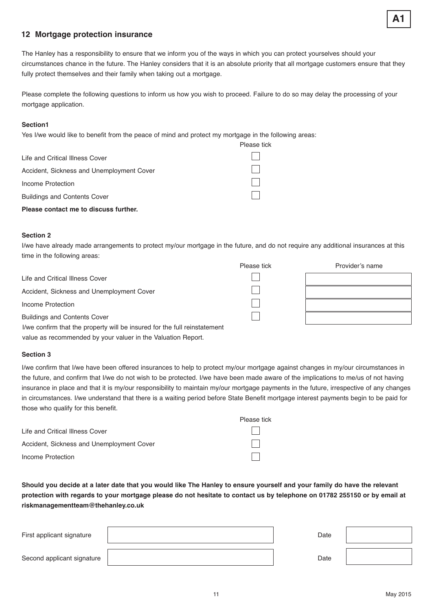# **12 Mortgage protection insurance**

The Hanley has a responsibility to ensure that we inform you of the ways in which you can protect yourselves should your circumstances chance in the future. The Hanley considers that it is an absolute priority that all mortgage customers ensure that they fully protect themselves and their family when taking out a mortgage.

Please complete the following questions to inform us how you wish to proceed. Failure to do so may delay the processing of your mortgage application.

#### **Section1**

Yes I/we would like to benefit from the peace of mind and protect my mortgage in the following areas:

|                                           | Please tick |
|-------------------------------------------|-------------|
| Life and Critical Illness Cover           |             |
| Accident, Sickness and Unemployment Cover |             |
| Income Protection                         |             |
| <b>Buildings and Contents Cover</b>       |             |
| Please contact me to discuss further.     |             |

#### **Section 2**

I/we have already made arrangements to protect my/our mortgage in the future, and do not require any additional insurances at this time in the following areas:

|                                                                           | Please tick | Provider's name |
|---------------------------------------------------------------------------|-------------|-----------------|
| Life and Critical Illness Cover                                           |             |                 |
| Accident, Sickness and Unemployment Cover                                 |             |                 |
| Income Protection                                                         |             |                 |
| <b>Buildings and Contents Cover</b>                                       |             |                 |
| I/we confirm that the property will be insured for the full reinstatement |             |                 |
| value as recommended by your valuer in the Valuation Report.              |             |                 |

#### **Section 3**

I/we confirm that I/we have been offered insurances to help to protect my/our mortgage against changes in my/our circumstances in the future, and confirm that I/we do not wish to be protected. I/we have been made aware of the implications to me/us of not having insurance in place and that it is my/our responsibility to maintain my/our mortgage payments in the future, irrespective of any changes in circumstances. I/we understand that there is a waiting period before State Benefit mortgage interest payments begin to be paid for those who qualify for this benefit.

|                                           | Please tick |
|-------------------------------------------|-------------|
| Life and Critical Illness Cover           |             |
| Accident, Sickness and Unemployment Cover |             |
| Income Protection                         |             |

**Should you decide at a later date that you would like The Hanley to ensure yourself and your family do have the relevant protection with regards to your mortgage please do not hesitate to contact us by telephone on 01782 255150 or by email at riskmanagementteam@thehanley.co.uk**

| First applicant signature  | Date |  |
|----------------------------|------|--|
| Second applicant signature | Date |  |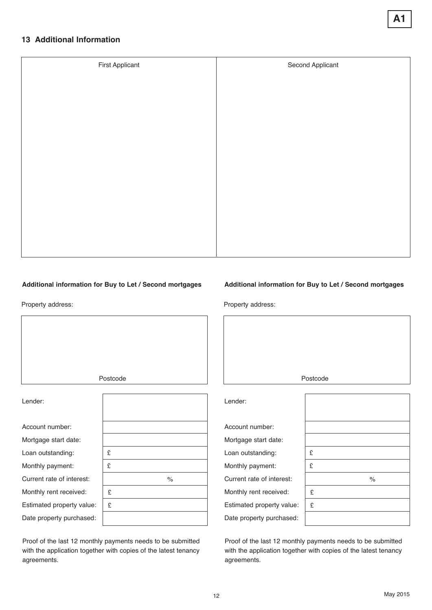## **13 Additional Information**

| <b>First Applicant</b> | Second Applicant |
|------------------------|------------------|
|                        |                  |
|                        |                  |
|                        |                  |
|                        |                  |
|                        |                  |
|                        |                  |
|                        |                  |
|                        |                  |
|                        |                  |
|                        |                  |
|                        |                  |
|                        |                  |

Property address:

#### **Additional information for Buy to Let / Second mortgages**

#### **Additional information for Buy to Let / Second mortgages**

Property address:

Lender: Postcode

| ------                    |   |
|---------------------------|---|
|                           |   |
| Account number:           |   |
| Mortgage start date:      |   |
| Loan outstanding:         | £ |
| Monthly payment:          | £ |
| Current rate of interest: | % |
| Monthly rent received:    | £ |
| Estimated property value: | £ |
| Date property purchased:  |   |

Proof of the last 12 monthly payments needs to be submitted with the application together with copies of the latest tenancy agreements.

|                           | Postcode |      |
|---------------------------|----------|------|
|                           |          |      |
| Lender:                   |          |      |
|                           |          |      |
| Account number:           |          |      |
| Mortgage start date:      |          |      |
| Loan outstanding:         | £        |      |
| Monthly payment:          | £        |      |
| Current rate of interest: |          | $\%$ |
| Monthly rent received:    | £        |      |
| Estimated property value: | £        |      |
| Date property purchased:  |          |      |
|                           |          |      |

Proof of the last 12 monthly payments needs to be submitted with the application together with copies of the latest tenancy agreements.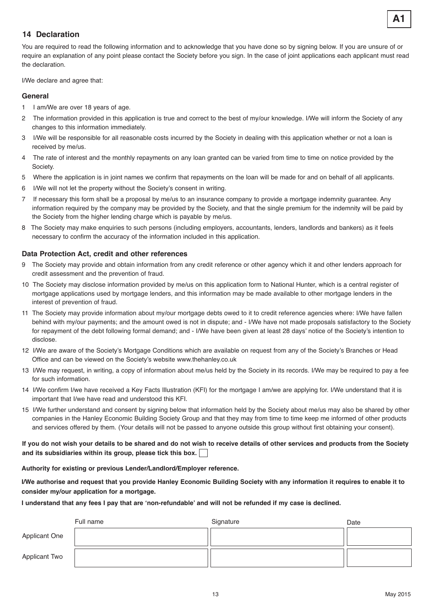

## **14 Declaration**

You are required to read the following information and to acknowledge that you have done so by signing below. If you are unsure of or require an explanation of any point please contact the Society before you sign. In the case of joint applications each applicant must read the declaration.

I/We declare and agree that:

#### **General**

- 1 I am/We are over 18 years of age.
- 2 The information provided in this application is true and correct to the best of my/our knowledge. I/We will inform the Society of any changes to this information immediately.
- 3 I/We will be responsible for all reasonable costs incurred by the Society in dealing with this application whether or not a loan is received by me/us.
- 4 The rate of interest and the monthly repayments on any loan granted can be varied from time to time on notice provided by the Society.
- 5 Where the application is in joint names we confirm that repayments on the loan will be made for and on behalf of all applicants.
- 6 I/We will not let the property without the Society's consent in writing.
- 7 If necessary this form shall be a proposal by me/us to an insurance company to provide a mortgage indemnity guarantee. Any information required by the company may be provided by the Society, and that the single premium for the indemnity will be paid by the Society from the higher lending charge which is payable by me/us.
- 8 The Society may make enquiries to such persons (including employers, accountants, lenders, landlords and bankers) as it feels necessary to confirm the accuracy of the information included in this application.

#### **Data Protection Act, credit and other references**

- 9 The Society may provide and obtain information from any credit reference or other agency which it and other lenders approach for credit assessment and the prevention of fraud.
- 10 The Society may disclose information provided by me/us on this application form to National Hunter, which is a central register of mortgage applications used by mortgage lenders, and this information may be made available to other mortgage lenders in the interest of prevention of fraud.
- 11 The Society may provide information about my/our mortgage debts owed to it to credit reference agencies where: I/We have fallen behind with my/our payments; and the amount owed is not in dispute; and - I/We have not made proposals satisfactory to the Society for repayment of the debt following formal demand; and - I/We have been given at least 28 days' notice of the Society's intention to disclose.
- 12 I/We are aware of the Society's Mortgage Conditions which are available on request from any of the Society's Branches or Head Office and can be viewed on the Society's website www.thehanley.co.uk
- 13 I/We may request, in writing, a copy of information about me/us held by the Society in its records. I/We may be required to pay a fee for such information.
- 14 I/We confirm I/we have received a Key Facts Illustration (KFI) for the mortgage I am/we are applying for. I/We understand that it is important that I/we have read and understood this KFI.
- 15 I/We further understand and consent by signing below that information held by the Society about me/us may also be shared by other companies in the Hanley Economic Building Society Group and that they may from time to time keep me informed of other products and services offered by them. (Your details will not be passed to anyone outside this group without first obtaining your consent).

**If you do not wish your details to be shared and do not wish to receive details of other services and products from the Society and its subsidiaries within its group, please tick this box.** 

#### **Authority for existing or previous Lender/Landlord/Employer reference.**

**I/We authorise and request that you provide Hanley Economic Building Society with any information it requires to enable it to consider my/our application for a mortgage.**

**I understand that any fees I pay that are 'non-refundable' and will not be refunded if my case is declined.**

|                      | Full name | Signature | Date |
|----------------------|-----------|-----------|------|
| <b>Applicant One</b> |           |           |      |
| <b>Applicant Two</b> |           |           |      |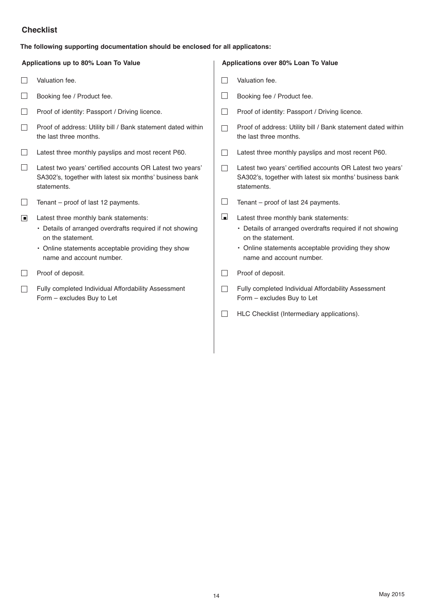# **Checklist**

# **The following supporting documentation should be enclosed for all applicatons:**

|        | Applications up to 80% Loan To Value                                                                                                                                                                     |                   | Applications over 80% Loan To Value                                                                                                                                                                      |
|--------|----------------------------------------------------------------------------------------------------------------------------------------------------------------------------------------------------------|-------------------|----------------------------------------------------------------------------------------------------------------------------------------------------------------------------------------------------------|
|        | Valuation fee.                                                                                                                                                                                           |                   | Valuation fee.                                                                                                                                                                                           |
| $\Box$ | Booking fee / Product fee.                                                                                                                                                                               |                   | Booking fee / Product fee.                                                                                                                                                                               |
| ∟      | Proof of identity: Passport / Driving licence.                                                                                                                                                           | $\mathbf{L}$      | Proof of identity: Passport / Driving licence.                                                                                                                                                           |
| $\Box$ | Proof of address: Utility bill / Bank statement dated within<br>the last three months.                                                                                                                   | $\vert \ \ \vert$ | Proof of address: Utility bill / Bank statement dated within<br>the last three months.                                                                                                                   |
| $\Box$ | Latest three monthly payslips and most recent P60.                                                                                                                                                       | $\mathbf{I}$      | Latest three monthly payslips and most recent P60.                                                                                                                                                       |
| $\Box$ | Latest two years' certified accounts OR Latest two years'<br>SA302's, together with latest six months' business bank<br>statements.                                                                      | П                 | Latest two years' certified accounts OR Latest two years'<br>SA302's, together with latest six months' business bank<br>statements.                                                                      |
| $\Box$ | Tenant - proof of last 12 payments.                                                                                                                                                                      | $\Box$            | Tenant – proof of last 24 payments.                                                                                                                                                                      |
| $\Box$ | Latest three monthly bank statements:<br>• Details of arranged overdrafts required if not showing<br>on the statement.<br>• Online statements acceptable providing they show<br>name and account number. | ш                 | Latest three monthly bank statements:<br>• Details of arranged overdrafts required if not showing<br>on the statement.<br>• Online statements acceptable providing they show<br>name and account number. |
|        | Proof of deposit.                                                                                                                                                                                        |                   | Proof of deposit.                                                                                                                                                                                        |
| $\Box$ | Fully completed Individual Affordability Assessment<br>Form - excludes Buy to Let                                                                                                                        |                   | Fully completed Individual Affordability Assessment<br>Form - excludes Buy to Let                                                                                                                        |
|        |                                                                                                                                                                                                          |                   | HLC Checklist (Intermediary applications).                                                                                                                                                               |